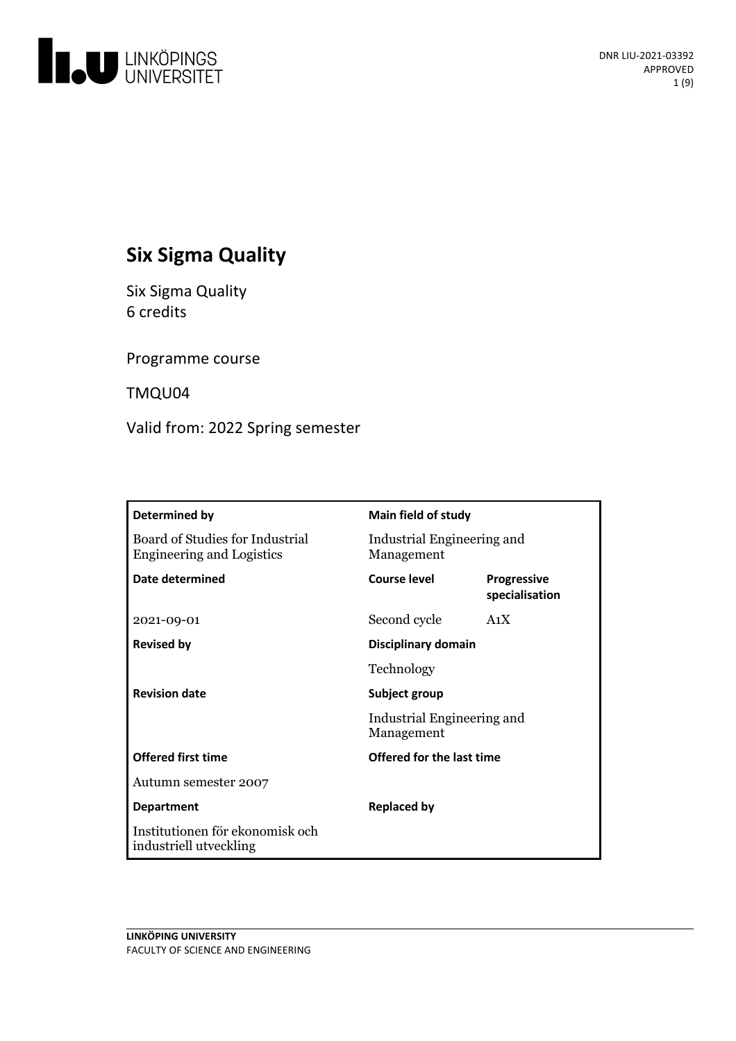

# **Six Sigma Quality**

Six Sigma Quality 6 credits

Programme course

TMQU04

Valid from: 2022 Spring semester

| Determined by                                                       | Main field of study                      |                                      |
|---------------------------------------------------------------------|------------------------------------------|--------------------------------------|
| Board of Studies for Industrial<br><b>Engineering and Logistics</b> | Industrial Engineering and<br>Management |                                      |
| Date determined                                                     | Course level                             | <b>Progressive</b><br>specialisation |
| 2021-09-01                                                          | Second cycle                             | A <sub>1</sub> X                     |
| <b>Revised by</b>                                                   | Disciplinary domain                      |                                      |
|                                                                     | Technology                               |                                      |
| <b>Revision date</b>                                                | Subject group                            |                                      |
|                                                                     | Industrial Engineering and<br>Management |                                      |
| <b>Offered first time</b>                                           | Offered for the last time                |                                      |
| Autumn semester 2007                                                |                                          |                                      |
| <b>Department</b>                                                   | <b>Replaced by</b>                       |                                      |
| Institutionen för ekonomisk och<br>industriell utveckling           |                                          |                                      |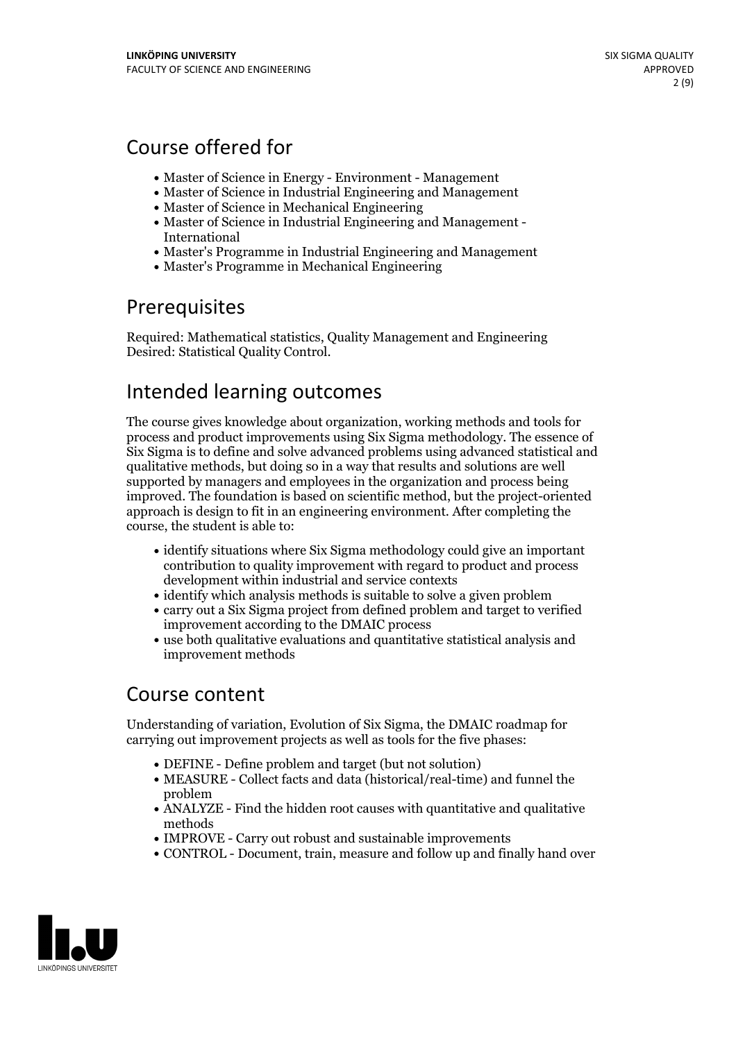# Course offered for

- Master of Science in Energy Environment Management
- Master of Science in Industrial Engineering and Management
- Master of Science in Mechanical Engineering
- Master of Science in Industrial Engineering and Management International
- Master's Programme in Industrial Engineering and Management
- Master's Programme in Mechanical Engineering

# Prerequisites

Required: Mathematical statistics, Quality Management and Engineering Desired: Statistical Quality Control.

# Intended learning outcomes

The course gives knowledge about organization, working methods and tools for process and product improvements using Six Sigma methodology. The essence of Six Sigma is to define and solve advanced problems using advanced statistical and qualitative methods, but doing so in a way that results and solutions are well supported by managers and employees in the organization and process being improved. The foundation is based on scientific method, but the project-oriented approach is design to fit in an engineering environment. After completing the course, the student is able to:

- identify situations where Six Sigma methodology could give an important contribution to quality improvement with regard to product and process development within industrial and service contexts
- identify which analysis methods is suitable to solve a given problem
- carry out a Six Sigma project from defined problem and target to verified improvement according to the DMAIC process
- use both qualitative evaluations and quantitative statistical analysis and improvement methods

# Course content

Understanding of variation, Evolution of Six Sigma, the DMAIC roadmap for carrying out improvement projects as well as tools for the five phases:

- DEFINE Define problem and target (but not solution)
- MEASURE Collect facts and data (historical/real-time) and funnel the problem
- ANALYZE Find the hidden root causes with quantitative and qualitative methods
- IMPROVE Carry out robust and sustainable improvements
- CONTROL Document, train, measure and follow up and finally hand over

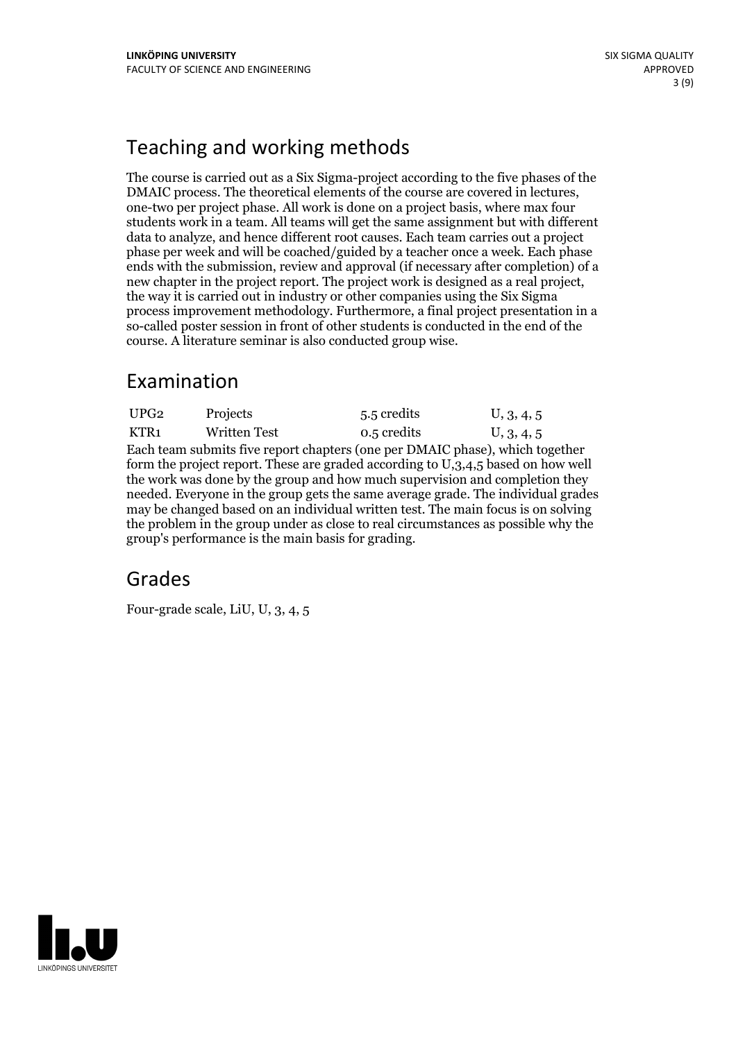# Teaching and working methods

The course is carried out as a Six Sigma-project according to the five phases of the DMAIC process. The theoretical elements of the course are covered in lectures, one-two per project phase. All work is done on <sup>a</sup> project basis, where max four students work in a team. All teams will get the same assignment but with different data to analyze, and hence different root causes. Each team carries out a project phase per week and will be coached/guided by a teacher once a week. Each phase ends with the submission, review and approval (if necessary after completion) of a new chapter in the project report. The project work is designed as <sup>a</sup> real project, the way it is carried outin industry or other companies using the Six Sigma process improvement methodology. Furthermore, a final project presentation in a so-called poster session in front of other students is conducted in the end of the course. A literature seminar is also conducted group wise.

# Examination

| UPG <sub>2</sub>                                                                  | Projects            | 5.5 credits | U, 3, 4, 5 |  |
|-----------------------------------------------------------------------------------|---------------------|-------------|------------|--|
| KTR <sub>1</sub>                                                                  | <b>Written Test</b> | 0.5 credits | U, 3, 4, 5 |  |
| Each team submits five report chapters (one per DMAIC phase), which together      |                     |             |            |  |
| form the project report. These are graded according to U,3,4,5 based on how well  |                     |             |            |  |
| the work was done by the group and how much supervision and completion they       |                     |             |            |  |
| needed. Everyone in the group gets the same average grade. The individual grades  |                     |             |            |  |
| may be changed based on an individual written test. The main focus is on solving  |                     |             |            |  |
| the problem in the group under as close to real circumstances as possible why the |                     |             |            |  |
| group's performance is the main basis for grading.                                |                     |             |            |  |

## Grades

Four-grade scale, LiU, U, 3, 4, 5

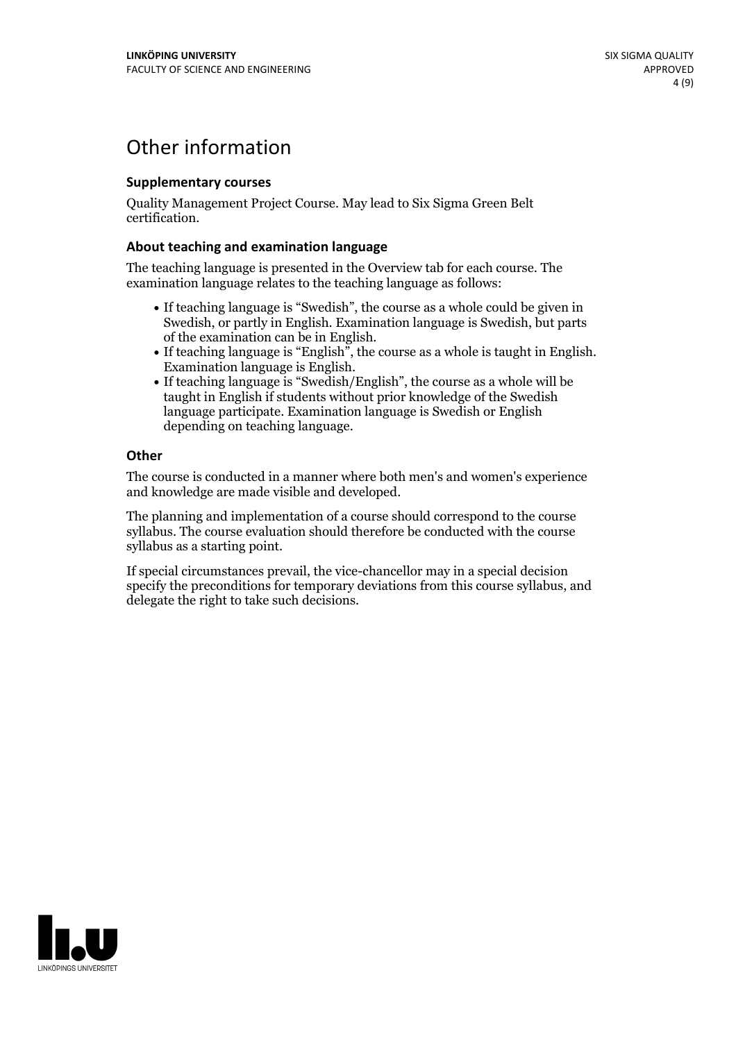# Other information

## **Supplementarycourses**

Quality Management Project Course. May lead to Six Sigma Green Belt certification.

## **About teaching and examination language**

The teaching language is presented in the Overview tab for each course. The examination language relates to the teaching language as follows:

- If teaching language is "Swedish", the course as a whole could be given in Swedish, or partly in English. Examination language is Swedish, but parts
- of the examination can be in English. If teaching language is "English", the course as <sup>a</sup> whole is taught in English. Examination language is English. If teaching language is "Swedish/English", the course as <sup>a</sup> whole will be
- taught in English if students without prior knowledge of the Swedish language participate. Examination language is Swedish or English depending on teaching language.

### **Other**

The course is conducted in a manner where both men's and women's experience and knowledge are made visible and developed.

The planning and implementation of a course should correspond to the course syllabus. The course evaluation should therefore be conducted with the course syllabus as a starting point.

If special circumstances prevail, the vice-chancellor may in a special decision specify the preconditions for temporary deviations from this course syllabus, and delegate the right to take such decisions.

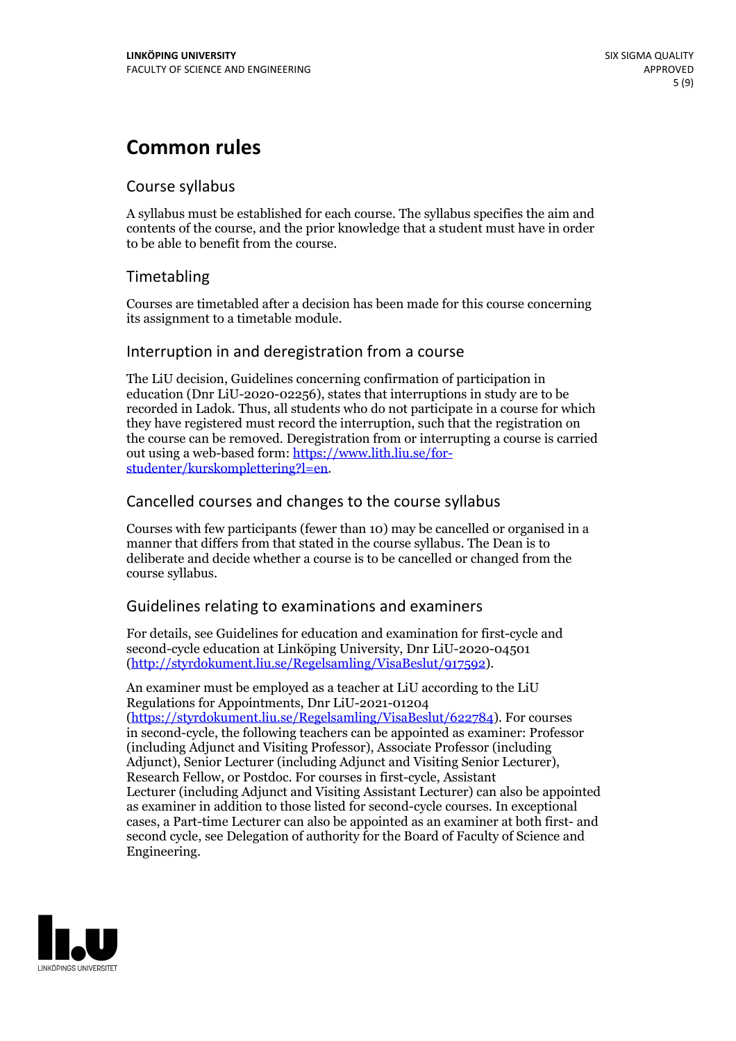# **Common rules**

## Course syllabus

A syllabus must be established for each course. The syllabus specifies the aim and contents of the course, and the prior knowledge that a student must have in order to be able to benefit from the course.

## Timetabling

Courses are timetabled after a decision has been made for this course concerning its assignment to a timetable module.

## Interruption in and deregistration from a course

The LiU decision, Guidelines concerning confirmation of participation in education (Dnr LiU-2020-02256), states that interruptions in study are to be recorded in Ladok. Thus, all students who do not participate in a course for which they have registered must record the interruption, such that the registration on the course can be removed. Deregistration from or interrupting a course is carried out using <sup>a</sup> web-based form: https://www.lith.liu.se/for- [studenter/kurskomplettering?l=en.](https://www.lith.liu.se/for-studenter/kurskomplettering?l=en)

## Cancelled courses and changes to the course syllabus

Courses with few participants (fewer than 10) may be cancelled or organised in a manner that differs from that stated in the course syllabus. The Dean is to deliberate and decide whether a course is to be cancelled or changed from the course syllabus.

## Guidelines relating to examinations and examiners

For details, see Guidelines for education and examination for first-cycle and second-cycle education at Linköping University, Dnr LiU-2020-04501 [\(http://styrdokument.liu.se/Regelsamling/VisaBeslut/917592\)](http://styrdokument.liu.se/Regelsamling/VisaBeslut/917592).

An examiner must be employed as a teacher at LiU according to the LiU Regulations for Appointments, Dnr LiU-2021-01204 [\(https://styrdokument.liu.se/Regelsamling/VisaBeslut/622784](https://styrdokument.liu.se/Regelsamling/VisaBeslut/622784)). For courses in second-cycle, the following teachers can be appointed as examiner: Professor (including Adjunct and Visiting Professor), Associate Professor (including Adjunct), Senior Lecturer (including Adjunct and Visiting Senior Lecturer), Research Fellow, or Postdoc. For courses in first-cycle, Assistant Lecturer (including Adjunct and Visiting Assistant Lecturer) can also be appointed as examiner in addition to those listed for second-cycle courses. In exceptional cases, a Part-time Lecturer can also be appointed as an examiner at both first- and second cycle, see Delegation of authority for the Board of Faculty of Science and Engineering.

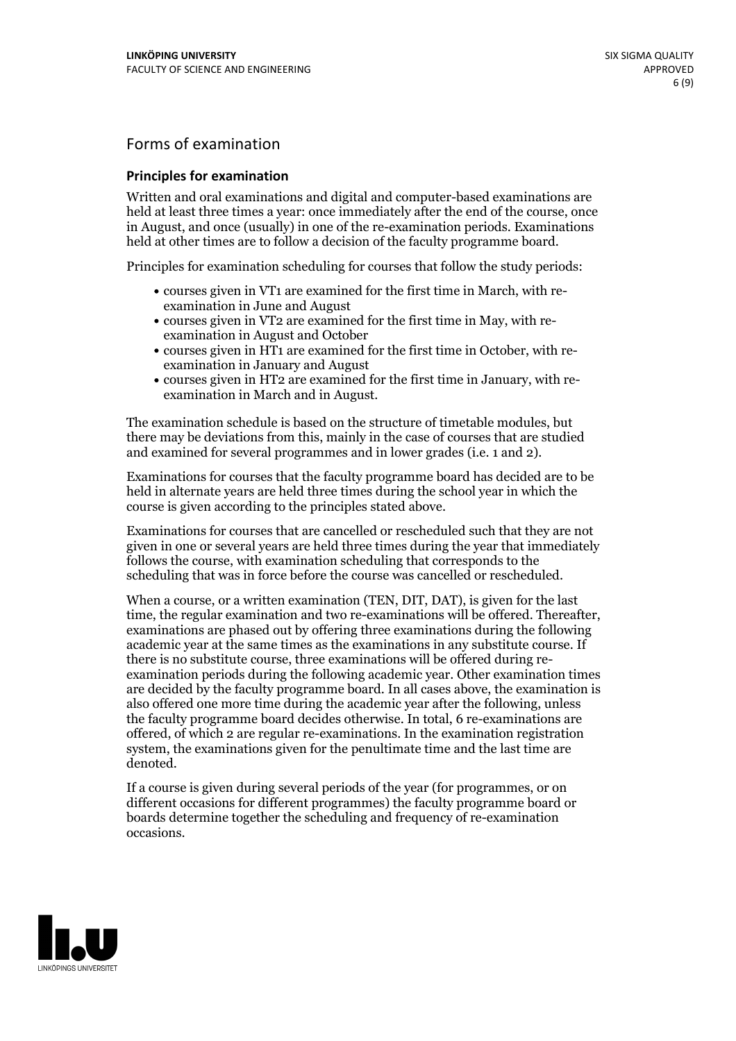## Forms of examination

### **Principles for examination**

Written and oral examinations and digital and computer-based examinations are held at least three times a year: once immediately after the end of the course, once in August, and once (usually) in one of the re-examination periods. Examinations held at other times are to follow a decision of the faculty programme board.

Principles for examination scheduling for courses that follow the study periods:

- courses given in VT1 are examined for the first time in March, with re-examination in June and August
- courses given in VT2 are examined for the first time in May, with re-examination in August and October
- courses given in HT1 are examined for the first time in October, with re-examination in January and August
- courses given in HT2 are examined for the first time in January, with re-examination in March and in August.

The examination schedule is based on the structure of timetable modules, but there may be deviations from this, mainly in the case of courses that are studied and examined for several programmes and in lower grades (i.e. 1 and 2).

Examinations for courses that the faculty programme board has decided are to be held in alternate years are held three times during the school year in which the course is given according to the principles stated above.

Examinations for courses that are cancelled orrescheduled such that they are not given in one or several years are held three times during the year that immediately follows the course, with examination scheduling that corresponds to the scheduling that was in force before the course was cancelled or rescheduled.

When a course, or a written examination (TEN, DIT, DAT), is given for the last time, the regular examination and two re-examinations will be offered. Thereafter, examinations are phased out by offering three examinations during the following academic year at the same times as the examinations in any substitute course. If there is no substitute course, three examinations will be offered during re- examination periods during the following academic year. Other examination times are decided by the faculty programme board. In all cases above, the examination is also offered one more time during the academic year after the following, unless the faculty programme board decides otherwise. In total, 6 re-examinations are offered, of which 2 are regular re-examinations. In the examination registration system, the examinations given for the penultimate time and the last time are denoted.

If a course is given during several periods of the year (for programmes, or on different occasions for different programmes) the faculty programme board or boards determine together the scheduling and frequency of re-examination occasions.

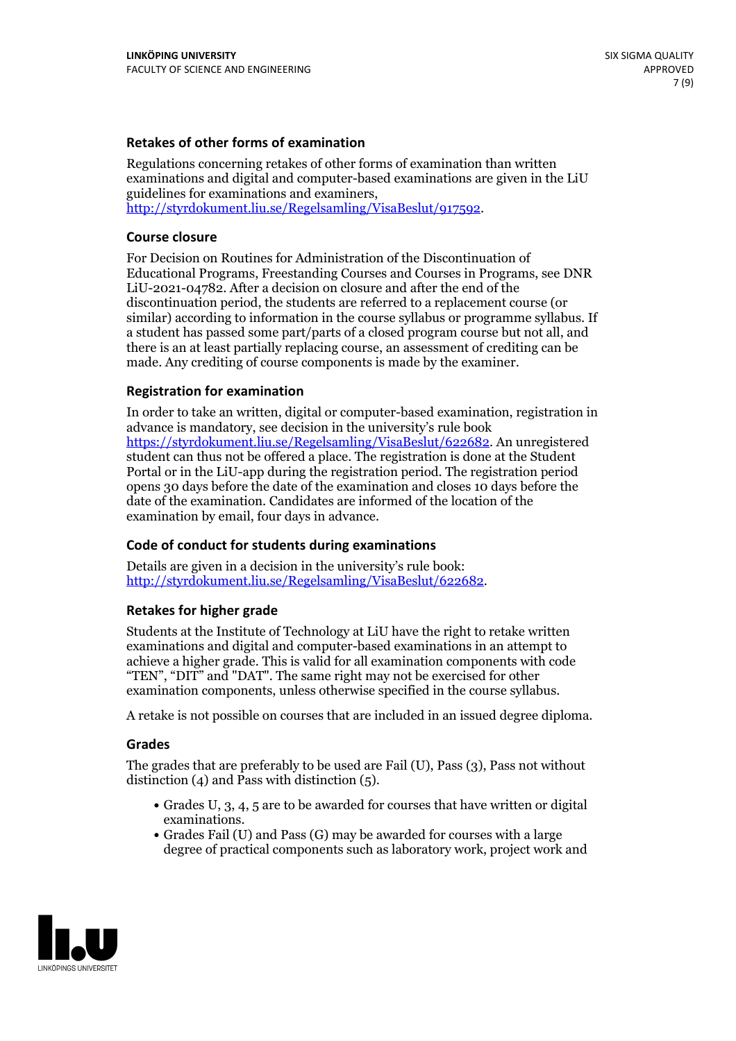### **Retakes of other forms of examination**

Regulations concerning retakes of other forms of examination than written examinations and digital and computer-based examinations are given in the LiU guidelines for examinations and examiners, [http://styrdokument.liu.se/Regelsamling/VisaBeslut/917592.](http://styrdokument.liu.se/Regelsamling/VisaBeslut/917592)

#### **Course closure**

For Decision on Routines for Administration of the Discontinuation of Educational Programs, Freestanding Courses and Courses in Programs, see DNR LiU-2021-04782. After a decision on closure and after the end of the discontinuation period, the students are referred to a replacement course (or similar) according to information in the course syllabus or programme syllabus. If a student has passed some part/parts of a closed program course but not all, and there is an at least partially replacing course, an assessment of crediting can be made. Any crediting of course components is made by the examiner.

## **Registration for examination**

In order to take an written, digital or computer-based examination, registration in advance is mandatory, see decision in the university's rule book [https://styrdokument.liu.se/Regelsamling/VisaBeslut/622682.](https://styrdokument.liu.se/Regelsamling/VisaBeslut/622682) An unregistered student can thus not be offered a place. The registration is done at the Student Portal or in the LiU-app during the registration period. The registration period opens 30 days before the date of the examination and closes 10 days before the date of the examination. Candidates are informed of the location of the examination by email, four days in advance.

## **Code of conduct for students during examinations**

Details are given in a decision in the university's rule book: <http://styrdokument.liu.se/Regelsamling/VisaBeslut/622682>.

#### **Retakes for higher grade**

Students at the Institute of Technology at LiU have the right to retake written examinations and digital and computer-based examinations in an attempt to achieve a higher grade. This is valid for all examination components with code "TEN", "DIT" and "DAT". The same right may not be exercised for other examination components, unless otherwise specified in the course syllabus.

A retake is not possible on courses that are included in an issued degree diploma.

#### **Grades**

The grades that are preferably to be used are Fail (U), Pass (3), Pass not without distinction  $(4)$  and Pass with distinction  $(5)$ .

- Grades U, 3, 4, 5 are to be awarded for courses that have written or digital examinations.<br>• Grades Fail (U) and Pass (G) may be awarded for courses with a large
- degree of practical components such as laboratory work, project work and

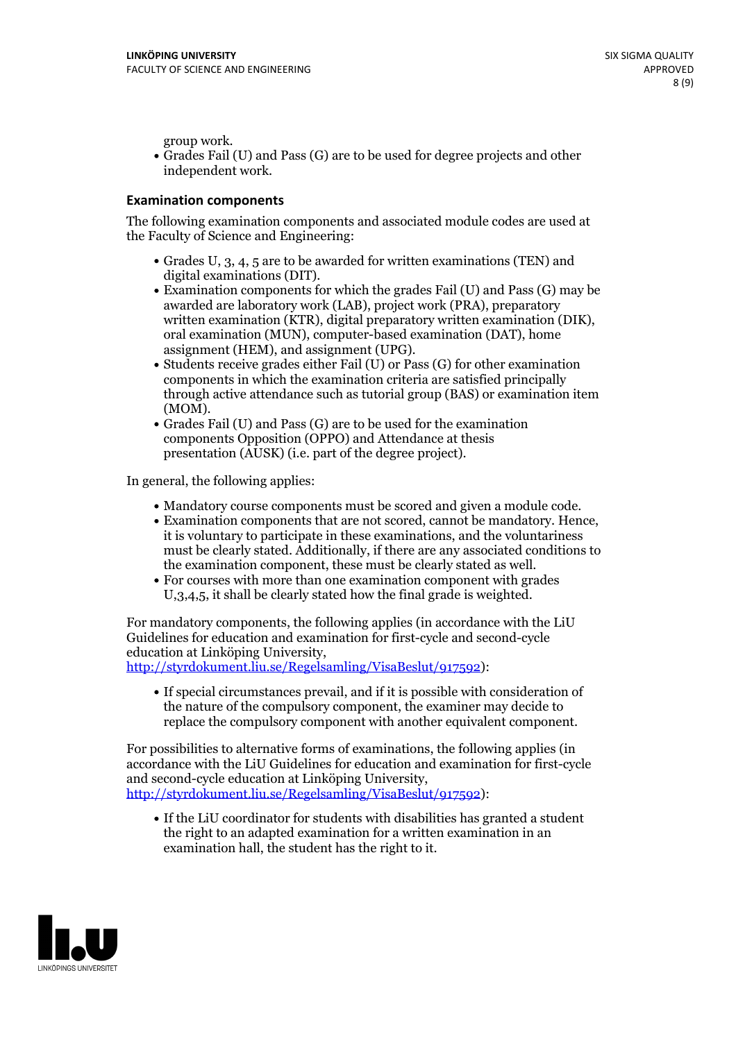group work.<br>• Grades Fail (U) and Pass (G) are to be used for degree projects and other independent work.

### **Examination components**

The following examination components and associated module codes are used at the Faculty of Science and Engineering:

- Grades U, 3, 4, 5 are to be awarded for written examinations (TEN) and
- digital examinations (DIT).<br>• Examination components for which the grades Fail (U) and Pass (G) may be awarded are laboratory work (LAB), project work (PRA), preparatory written examination (KTR), digital preparatory written examination (DIK), oral examination (MUN), computer-based examination (DAT), home
- assignment (HEM), and assignment (UPG).<br>• Students receive grades either Fail (U) or Pass (G) for other examination components in which the examination criteria are satisfied principally through active attendance such as tutorial group (BAS) or examination item
- (MOM).<br>• Grades Fail (U) and Pass (G) are to be used for the examination components Opposition (OPPO) and Attendance at thesis presentation (AUSK) (i.e. part of the degree project).

In general, the following applies:

- 
- Mandatory course components must be scored and given <sup>a</sup> module code. Examination components that are not scored, cannot be mandatory. Hence, it is voluntary to participate in these examinations, and the voluntariness must be clearly stated. Additionally, if there are any associated conditions to
- the examination component, these must be clearly stated as well.<br>• For courses with more than one examination component with grades U,3,4,5, it shall be clearly stated how the final grade is weighted.

For mandatory components, the following applies (in accordance with the LiU Guidelines for education and examination for first-cycle and second-cycle education at Linköping University,<br>[http://styrdokument.liu.se/Regelsamling/VisaBeslut/917592\)](http://styrdokument.liu.se/Regelsamling/VisaBeslut/917592):

If special circumstances prevail, and if it is possible with consideration of the nature of the compulsory component, the examiner may decide to replace the compulsory component with another equivalent component.

For possibilities to alternative forms of examinations, the following applies (in accordance with the LiU Guidelines for education and examination for first-cycle [http://styrdokument.liu.se/Regelsamling/VisaBeslut/917592\)](http://styrdokument.liu.se/Regelsamling/VisaBeslut/917592):

If the LiU coordinator for students with disabilities has granted a student the right to an adapted examination for a written examination in an examination hall, the student has the right to it.